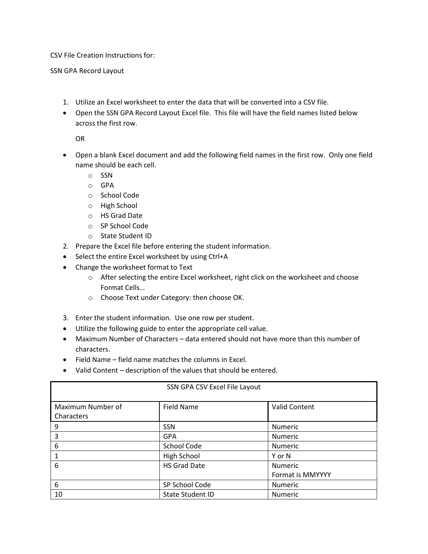CSV File Creation Instructions for:

SSN GPA Record Layout

- 1. Utilize an Excel worksheet to enter the data that will be converted into a CSV file.
- • Open the SSN GPA Record Layout Excel file. This file will have the field names listed below across the first row.

OR

- • Open a blank Excel document and add the following field names in the first row. Only one field name should be each cell.
	- o SSN
	- o GPA
	- o School Code
	- o High School
	- o HS Grad Date
	- o SP School Code
	- o State Student ID
- 2. Prepare the Excel file before entering the student information.
- Select the entire Excel worksheet by using Ctrl+A
- Change the worksheet format to Text
	- $\circ$  After selecting the entire Excel worksheet, right click on the worksheet and choose Format Cells…
	- o Choose Text under Category: then choose OK.
- 3. Enter the student information. Use one row per student.
- Utilize the following guide to enter the appropriate cell value.
- Maximum Number of Characters data entered should not have more than this number of characters.
- Field Name field name matches the columns in Excel.
- Valid Content description of the values that should be entered.

| SSN GPA CSV Excel File Layout   |                         |                      |
|---------------------------------|-------------------------|----------------------|
| Maximum Number of<br>Characters | Field Name              | <b>Valid Content</b> |
| 9                               | <b>SSN</b>              | Numeric              |
| 3                               | <b>GPA</b>              | Numeric              |
| 6                               | School Code             | Numeric              |
|                                 | High School             | Y or N               |
| 6                               | <b>HS Grad Date</b>     | Numeric              |
|                                 |                         | Format is MMYYYY     |
| 6                               | SP School Code          | <b>Numeric</b>       |
| 10                              | <b>State Student ID</b> | <b>Numeric</b>       |